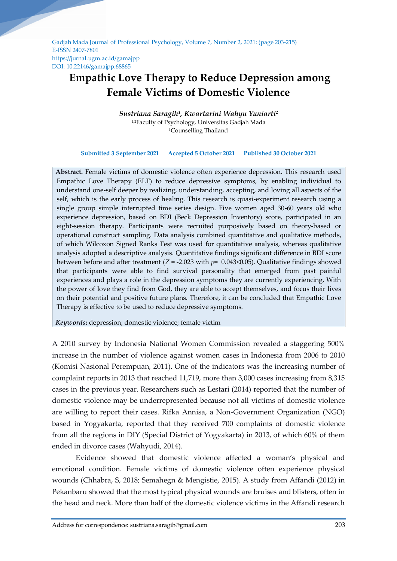Gadjah Mada Journal of Professional Psychology, Volume 7, Number 2, 2021: (page 203-215) E-ISSN 2407-7801 https://jurnal.ugm.ac.id/gamajpp DOI: 10.22146/gamajpp.68865

# **Empathic Love Therapy to Reduce Depression among Female Victims of Domestic Violence**

*Sustriana Saragih<sup>1</sup> , Kwartarini Wahyu Yuniarti 2* <sup>1,2</sup>Faculty of Psychology, Universitas Gadjah Mada <sup>1</sup>Counselling Thailand

**Submitted 3 September 2021 Accepted 5 October 2021 Published 30 October 2021**

**Abstract.** Female victims of domestic violence often experience depression. This research used Empathic Love Therapy (ELT) to reduce depressive symptoms, by enabling individual to understand one-self deeper by realizing, understanding, accepting, and loving all aspects of the self, which is the early process of healing. This research is quasi-experiment research using a single group simple interrupted time series design. Five women aged 30-60 years old who experience depression, based on BDI (Beck Depression Inventory) score, participated in an eight-session therapy. Participants were recruited purposively based on theory-based or operational construct sampling. Data analysis combined quantitative and qualitative methods, of which Wilcoxon Signed Ranks Test was used for quantitative analysis, whereas qualitative analysis adopted a descriptive analysis. Quantitative findings significant difference in BDI score between before and after treatment  $(Z = -2.023$  with  $p = 0.043 \le 0.05$ ). Qualitative findings showed that participants were able to find survival personality that emerged from past painful experiences and plays a role in the depression symptoms they are currently experiencing. With the power of love they find from God, they are able to accept themselves, and focus their lives on their potential and positive future plans. Therefore, it can be concluded that Empathic Love Therapy is effective to be used to reduce depressive symptoms.

*Keywords***:** depression; domestic violence; female victim

A 2010 survey by Indonesia National Women Commission revealed a staggering 500% increase in the number of violence against women cases in Indonesia from 2006 to 2010 (Komisi Nasional Perempuan, 2011). One of the indicators was the increasing number of complaint reports in 2013 that reached 11,719, more than 3,000 cases increasing from 8,315 cases in the previous year. Researchers such as Lestari (2014) reported that the number of domestic violence may be underrepresented because not all victims of domestic violence are willing to report their cases. Rifka Annisa, a Non-Government Organization (NGO) based in Yogyakarta, reported that they received 700 complaints of domestic violence from all the regions in DIY (Special District of Yogyakarta) in 2013, of which 60% of them ended in divorce cases (Wahyudi, 2014).

Evidence showed that domestic violence affected a woman's physical and emotional condition. Female victims of domestic violence often experience physical wounds (Chhabra, S, 2018; Semahegn & Mengistie, 2015). A study from Affandi (2012) in Pekanbaru showed that the most typical physical wounds are bruises and blisters, often in the head and neck. More than half of the domestic violence victims in the Affandi research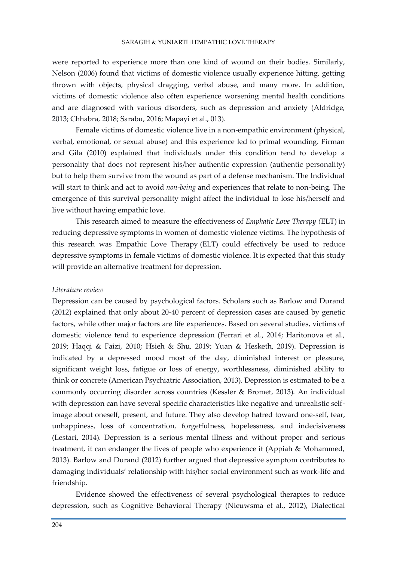were reported to experience more than one kind of wound on their bodies. Similarly, Nelson (2006) found that victims of domestic violence usually experience hitting, getting thrown with objects, physical dragging, verbal abuse, and many more. In addition, victims of domestic violence also often experience worsening mental health conditions and are diagnosed with various disorders, such as depression and anxiety (Aldridge, 2013; Chhabra, 2018; Sarabu, 2016; Mapayi et al., 013).

Female victims of domestic violence live in a non-empathic environment (physical, verbal, emotional, or sexual abuse) and this experience led to primal wounding. Firman and Gila (2010) explained that individuals under this condition tend to develop a personality that does not represent his/her authentic expression (authentic personality) but to help them survive from the wound as part of a defense mechanism. The Individual will start to think and act to avoid *non-being* and experiences that relate to non-being*.* The emergence of this survival personality might affect the individual to lose his/herself and live without having empathic love*.*

This research aimed to measure the effectiveness of *Emphatic Love Therapy (*ELT) in reducing depressive symptoms in women of domestic violence victims. The hypothesis of this research was Empathic Love Therapy (ELT) could effectively be used to reduce depressive symptoms in female victims of domestic violence. It is expected that this study will provide an alternative treatment for depression.

#### *Literature review*

Depression can be caused by psychological factors. Scholars such as Barlow and Durand (2012) explained that only about 20-40 percent of depression cases are caused by genetic factors, while other major factors are life experiences. Based on several studies, victims of domestic violence tend to experience depression (Ferrari et al., 2014; Haritonova et al., 2019; Haqqi & Faizi, 2010; Hsieh & Shu, 2019; Yuan & Hesketh, 2019). Depression is indicated by a depressed mood most of the day, diminished interest or pleasure, significant weight loss, fatigue or loss of energy, worthlessness, diminished ability to think or concrete (American Psychiatric Association, 2013). Depression is estimated to be a commonly occurring disorder across countries (Kessler & Bromet, 2013). An individual with depression can have several specific characteristics like negative and unrealistic selfimage about oneself, present, and future. They also develop hatred toward one-self, fear, unhappiness, loss of concentration, forgetfulness, hopelessness, and indecisiveness (Lestari, 2014). Depression is a serious mental illness and without proper and serious treatment, it can endanger the lives of people who experience it (Appiah & Mohammed, 2013). Barlow and Durand (2012) further argued that depressive symptom contributes to damaging individuals' relationship with his/her social environment such as work-life and friendship.

Evidence showed the effectiveness of several psychological therapies to reduce depression, such as Cognitive Behavioral Therapy (Nieuwsma et al., 2012), Dialectical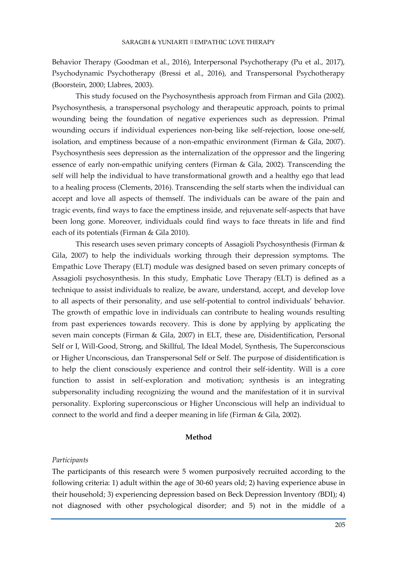Behavior Therapy (Goodman et al., 2016), Interpersonal Psychotherapy (Pu et al., 2017), Psychodynamic Psychotherapy (Bressi et al., 2016), and Transpersonal Psychotherapy (Boorstein, 2000; Llabres, 2003).

This study focused on the Psychosynthesis approach from Firman and Gila (2002). Psychosynthesis, a transpersonal psychology and therapeutic approach, points to primal wounding being the foundation of negative experiences such as depression. Primal wounding occurs if individual experiences non-being like self-rejection, loose one-self, isolation, and emptiness because of a non-empathic environment (Firman & Gila, 2007). Psychosynthesis sees depression as the internalization of the oppressor and the lingering essence of early non-empathic unifying centers (Firman & Gila, 2002). Transcending the self will help the individual to have transformational growth and a healthy ego that lead to a healing process (Clements, 2016). Transcending the self starts when the individual can accept and love all aspects of themself. The individuals can be aware of the pain and tragic events, find ways to face the emptiness inside, and rejuvenate self-aspects that have been long gone. Moreover, individuals could find ways to face threats in life and find each of its potentials (Firman & Gila 2010).

This research uses seven primary concepts of Assagioli Psychosynthesis (Firman & Gila, 2007) to help the individuals working through their depression symptoms. The Empathic Love Therapy (ELT) module was designed based on seven primary concepts of Assagioli psychosynthesis. In this study, Emphatic Love Therapy *(*ELT) is defined as a technique to assist individuals to realize, be aware, understand, accept, and develop love to all aspects of their personality, and use self-potential to control individuals' behavior. The growth of empathic love in individuals can contribute to healing wounds resulting from past experiences towards recovery. This is done by applying by applicating the seven main concepts (Firman & Gila, 2007) in ELT, these are, Disidentification, Personal Self or I, Will-Good, Strong, and Skillful, The Ideal Model, Synthesis, The Superconscious or Higher Unconscious, dan Transpersonal Self or Self. The purpose of disidentification is to help the client consciously experience and control their self-identity. Will is a core function to assist in self-exploration and motivation; synthesis is an integrating subpersonality including recognizing the wound and the manifestation of it in survival personality. Exploring superconscious or Higher Unconscious will help an individual to connect to the world and find a deeper meaning in life (Firman & Gila, 2002).

## **Method**

#### *Participants*

The participants of this research were 5 women purposively recruited according to the following criteria: 1) adult within the age of 30-60 years old; 2) having experience abuse in their household; 3) experiencing depression based on Beck Depression Inventory *(*BDI); 4) not diagnosed with other psychological disorder; and 5) not in the middle of a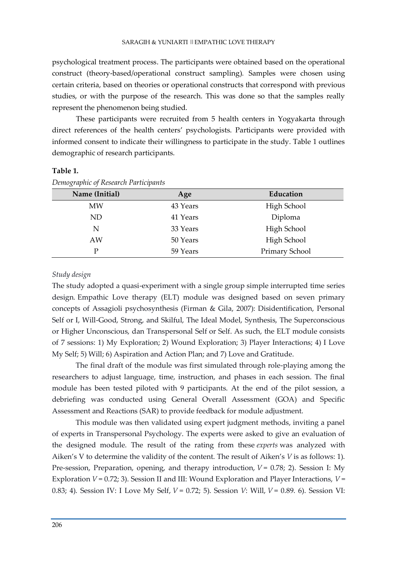psychological treatment process. The participants were obtained based on the operational construct (theory-based/operational construct sampling)*.* Samples were chosen using certain criteria, based on theories or operational constructs that correspond with previous studies, or with the purpose of the research. This was done so that the samples really represent the phenomenon being studied.

These participants were recruited from 5 health centers in Yogyakarta through direct references of the health centers' psychologists. Participants were provided with informed consent to indicate their willingness to participate in the study. Table 1 outlines demographic of research participants.

# **Table 1.**

| Name (Initial) | Age      | Education      |  |
|----------------|----------|----------------|--|
| <b>MW</b>      | 43 Years | High School    |  |
| ND             | 41 Years | Diploma        |  |
| N              | 33 Years | High School    |  |
| AW             | 50 Years | High School    |  |
| D              | 59 Years | Primary School |  |
|                |          |                |  |

*Demographic of Research Participants*

## *Study design*

The study adopted a quasi-experiment with a single group simple interrupted time series design*.* Empathic Love therapy (ELT) module was designed based on seven primary concepts of Assagioli psychosynthesis (Firman & Gila, 2007): Disidentification, Personal Self or I, Will-Good, Strong, and Skilful, The Ideal Model, Synthesis, The Superconscious or Higher Unconscious, dan Transpersonal Self or Self. As such, the ELT module consists of 7 sessions: 1) My Exploration; 2) Wound Exploration; 3) Player Interactions; 4) I Love My Self; 5) Will; 6) Aspiration and Action Plan; and 7) Love and Gratitude.

The final draft of the module was first simulated through role-playing among the researchers to adjust language, time, instruction, and phases in each session. The final module has been tested piloted with 9 participants. At the end of the pilot session, a debriefing was conducted using General Overall Assessment (GOA) and Specific Assessment and Reactions (SAR) to provide feedback for module adjustment.

This module was then validated using expert judgment methods, inviting a panel of experts in Transpersonal Psychology. The experts were asked to give an evaluation of the designed module. The result of the rating from these *experts* was analyzed with Aiken's V to determine the validity of the content. The result of Aiken's *V* is as follows: 1). Pre-session, Preparation, opening, and therapy introduction,  $V = 0.78$ ; 2). Session I: My Exploration *V* = 0.72; 3). Session II and III: Wound Exploration and Player Interactions, *V* = 0.83; 4). Session IV: I Love My Self, *V* = 0.72; 5). Session *V*: Will, *V* = 0.89. 6). Session VI: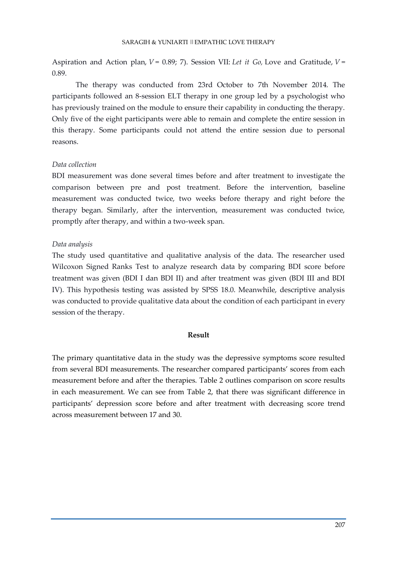Aspiration and Action plan, *V* = 0.89; 7). Session VII: *Let it Go,* Love and Gratitude, *V* = 0.89.

The therapy was conducted from 23rd October to 7th November 2014. The participants followed an 8-session ELT therapy in one group led by a psychologist who has previously trained on the module to ensure their capability in conducting the therapy. Only five of the eight participants were able to remain and complete the entire session in this therapy. Some participants could not attend the entire session due to personal reasons.

# *Data collection*

BDI measurement was done several times before and after treatment to investigate the comparison between pre and post treatment. Before the intervention, baseline measurement was conducted twice, two weeks before therapy and right before the therapy began. Similarly, after the intervention, measurement was conducted twice, promptly after therapy, and within a two-week span.

# *Data analysis*

The study used quantitative and qualitative analysis of the data. The researcher used Wilcoxon Signed Ranks Test to analyze research data by comparing BDI score before treatment was given (BDI I dan BDI II) and after treatment was given (BDI III and BDI IV). This hypothesis testing was assisted by SPSS 18.0. Meanwhile, descriptive analysis was conducted to provide qualitative data about the condition of each participant in every session of the therapy.

## **Result**

The primary quantitative data in the study was the depressive symptoms score resulted from several BDI measurements. The researcher compared participants' scores from each measurement before and after the therapies. Table 2 outlines comparison on score results in each measurement. We can see from Table 2, that there was significant difference in participants' depression score before and after treatment with decreasing score trend across measurement between 17 and 30.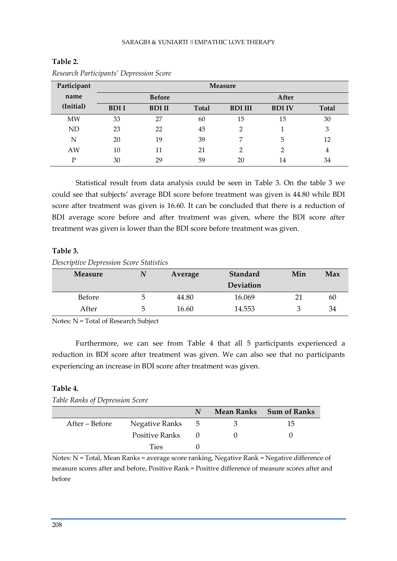| Participant | <b>Measure</b> |               |              |                |               |              |
|-------------|----------------|---------------|--------------|----------------|---------------|--------------|
| name        | <b>Before</b>  |               | After        |                |               |              |
| (Initial)   | <b>BDII</b>    | <b>BDI II</b> | <b>Total</b> | <b>BDI III</b> | <b>BDI IV</b> | <b>Total</b> |
| MW          | 33             | 27            | 60           | 15             | 15            | 30           |
| <b>ND</b>   | 23             | 22            | 45           | 2              |               | 3            |
| N           | 20             | 19            | 39           | 7              | 5             | 12           |
| AW          | 10             | 11            | 21           | າ              | 2             | 4            |
| D           | 30             | 29            | 59           | 20             | 14            | 34           |

**Table 2.** *Research Participants' Depression Score*

Statistical result from data analysis could be seen in Table 3. On the table 3 we could see that subjects' average BDI score before treatment was given is 44.80 while BDI score after treatment was given is 16.60. It can be concluded that there is a reduction of BDI average score before and after treatment was given, where the BDI score after treatment was given is lower than the BDI score before treatment was given.

## **Table 3.**

## *Descriptive Depression Score Statistics*

| <b>Measure</b> |   | Average | Standard         | Min | Max |
|----------------|---|---------|------------------|-----|-----|
|                |   |         | <b>Deviation</b> |     |     |
| Before         | ∽ | 44.80   | 16.069           |     | 60  |
| After          | G | 16.60   | 14.553           |     | 34  |

Notes: N = Total of Research Subject

Furthermore, we can see from Table 4 that all 5 participants experienced a reduction in BDI score after treatment was given. We can also see that no participants experiencing an increase in BDI score after treatment was given.

## **Table 4.**

*Table Ranks of Depression Score*

|                |                |     | Mean Ranks Sum of Ranks |
|----------------|----------------|-----|-------------------------|
| After – Before | Negative Ranks | - 5 | 15.                     |
|                | Positive Ranks |     |                         |
|                | Ties           |     |                         |

Notes: N = Total, Mean Ranks = average score ranking, Negative Rank = Negative difference of measure scores after and before, Positive Rank = Positive difference of measure scores after and before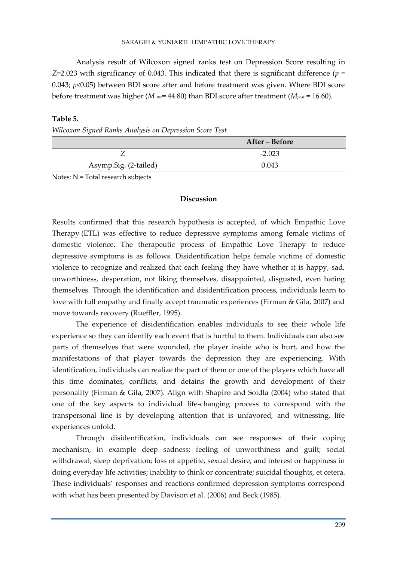Analysis result of Wilcoxon signed ranks test on Depression Score resulting in  $Z=2.023$  with significancy of 0.043. This indicated that there is significant difference ( $p =$ 0.043; *p*<0.05) between BDI score after and before treatment was given. Where BDI score before treatment was higher (*M pre*= 44.80) than BDI score after treatment (*Mpost* = 16.60).

## **Table 5.**

*Wilcoxon Signed Ranks Analysis on Depression Score Test*

|                       | After – Before |
|-----------------------|----------------|
|                       | $-2.023$       |
| Asymp.Sig. (2-tailed) | 0.043          |

Notes: N = Total research subjects

## **Discussion**

Results confirmed that this research hypothesis is accepted, of which Empathic Love Therapy (ETL) was effective to reduce depressive symptoms among female victims of domestic violence. The therapeutic process of Empathic Love Therapy to reduce depressive symptoms is as follows. Disidentification helps female victims of domestic violence to recognize and realized that each feeling they have whether it is happy, sad, unworthiness, desperation, not liking themselves, disappointed, disgusted, even hating themselves. Through the identification and disidentification process, individuals learn to love with full empathy and finally accept traumatic experiences (Firman & Gila, 2007) and move towards recovery (Rueffler, 1995).

The experience of disidentification enables individuals to see their whole life experience so they can identify each event that is hurtful to them. Individuals can also see parts of themselves that were wounded, the player inside who is hurt, and how the manifestations of that player towards the depression they are experiencing. With identification, individuals can realize the part of them or one of the players which have all this time dominates, conflicts, and detains the growth and development of their personality (Firman & Gila, 2007). Align with Shapiro and Soidla (2004) who stated that one of the key aspects to individual life-changing process to correspond with the transpersonal line is by developing attention that is unfavored, and witnessing, life experiences unfold.

Through disidentification, individuals can see responses of their coping mechanism, in example deep sadness; feeling of unworthiness and guilt; social withdrawal; sleep deprivation; loss of appetite, sexual desire, and interest or happiness in doing everyday life activities; inability to think or concentrate; suicidal thoughts, et cetera. These individuals' responses and reactions confirmed depression symptoms correspond with what has been presented by Davison et al. (2006) and Beck (1985).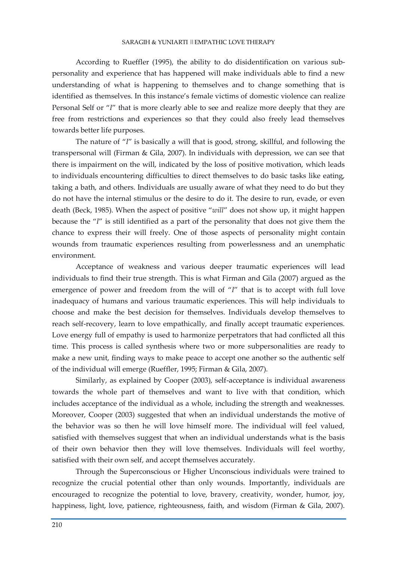According to Rueffler (1995), the ability to do disidentification on various subpersonality and experience that has happened will make individuals able to find a new understanding of what is happening to themselves and to change something that is identified as themselves. In this instance's female victims of domestic violence can realize Personal Self or "*I*" that is more clearly able to see and realize more deeply that they are free from restrictions and experiences so that they could also freely lead themselves towards better life purposes.

The nature of "*I*" is basically a will that is good, strong, skillful, and following the transpersonal will (Firman & Gila, 2007). In individuals with depression, we can see that there is impairment on the will, indicated by the loss of positive motivation, which leads to individuals encountering difficulties to direct themselves to do basic tasks like eating, taking a bath, and others. Individuals are usually aware of what they need to do but they do not have the internal stimulus or the desire to do it. The desire to run, evade, or even death (Beck, 1985). When the aspect of positive "*will*" does not show up, it might happen because the "*I*" is still identified as a part of the personality that does not give them the chance to express their will freely. One of those aspects of personality might contain wounds from traumatic experiences resulting from powerlessness and an unemphatic environment.

Acceptance of weakness and various deeper traumatic experiences will lead individuals to find their true strength. This is what Firman and Gila (2007) argued as the emergence of power and freedom from the will of "*I*" that is to accept with full love inadequacy of humans and various traumatic experiences. This will help individuals to choose and make the best decision for themselves. Individuals develop themselves to reach self-recovery, learn to love empathically, and finally accept traumatic experiences. Love energy full of empathy is used to harmonize perpetrators that had conflicted all this time. This process is called synthesis where two or more subpersonalities are ready to make a new unit, finding ways to make peace to accept one another so the authentic self of the individual will emerge (Rueffler, 1995; Firman & Gila, 2007).

Similarly, as explained by Cooper (2003), self-acceptance is individual awareness towards the whole part of themselves and want to live with that condition, which includes acceptance of the individual as a whole, including the strength and weaknesses. Moreover, Cooper (2003) suggested that when an individual understands the motive of the behavior was so then he will love himself more. The individual will feel valued, satisfied with themselves suggest that when an individual understands what is the basis of their own behavior then they will love themselves. Individuals will feel worthy, satisfied with their own self, and accept themselves accurately.

Through the Superconscious or Higher Unconscious individuals were trained to recognize the crucial potential other than only wounds. Importantly, individuals are encouraged to recognize the potential to love, bravery, creativity, wonder, humor, joy, happiness, light, love, patience, righteousness, faith, and wisdom (Firman & Gila, 2007).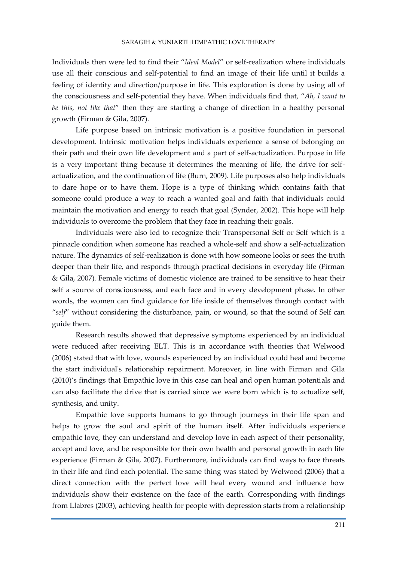Individuals then were led to find their "*Ideal Model*" or self-realization where individuals use all their conscious and self-potential to find an image of their life until it builds a feeling of identity and direction/purpose in life. This exploration is done by using all of the consciousness and self-potential they have. When individuals find that, "*Ah, I want to be this, not like that*" then they are starting a change of direction in a healthy personal growth (Firman & Gila, 2007).

Life purpose based on intrinsic motivation is a positive foundation in personal development. Intrinsic motivation helps individuals experience a sense of belonging on their path and their own life development and a part of self-actualization. Purpose in life is a very important thing because it determines the meaning of life, the drive for selfactualization, and the continuation of life (Burn, 2009). Life purposes also help individuals to dare hope or to have them. Hope is a type of thinking which contains faith that someone could produce a way to reach a wanted goal and faith that individuals could maintain the motivation and energy to reach that goal (Synder, 2002). This hope will help individuals to overcome the problem that they face in reaching their goals.

Individuals were also led to recognize their Transpersonal Self or Self which is a pinnacle condition when someone has reached a whole-self and show a self-actualization nature. The dynamics of self-realization is done with how someone looks or sees the truth deeper than their life, and responds through practical decisions in everyday life (Firman & Gila, 2007). Female victims of domestic violence are trained to be sensitive to hear their self a source of consciousness, and each face and in every development phase. In other words, the women can find guidance for life inside of themselves through contact with "*self*" without considering the disturbance, pain, or wound, so that the sound of Self can guide them.

Research results showed that depressive symptoms experienced by an individual were reduced after receiving ELT. This is in accordance with theories that Welwood (2006) stated that with love, wounds experienced by an individual could heal and become the start individual's relationship repairment. Moreover, in line with Firman and Gila (2010)'s findings that Empathic love in this case can heal and open human potentials and can also facilitate the drive that is carried since we were born which is to actualize self, synthesis, and unity.

Empathic love supports humans to go through journeys in their life span and helps to grow the soul and spirit of the human itself. After individuals experience empathic love, they can understand and develop love in each aspect of their personality, accept and love, and be responsible for their own health and personal growth in each life experience (Firman & Gila, 2007). Furthermore, individuals can find ways to face threats in their life and find each potential. The same thing was stated by Welwood (2006) that a direct connection with the perfect love will heal every wound and influence how individuals show their existence on the face of the earth. Corresponding with findings from Llabres (2003), achieving health for people with depression starts from a relationship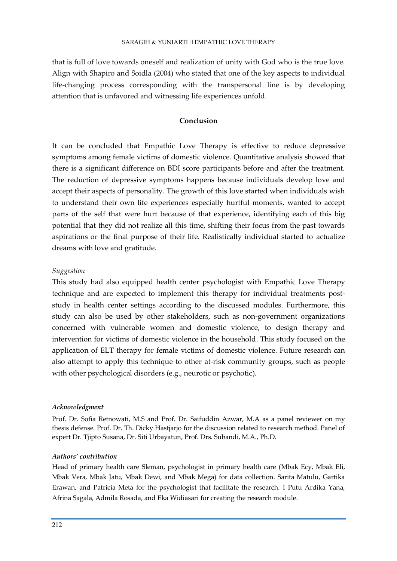that is full of love towards oneself and realization of unity with God who is the true love. Align with Shapiro and Soidla (2004) who stated that one of the key aspects to individual life-changing process corresponding with the transpersonal line is by developing attention that is unfavored and witnessing life experiences unfold.

# **Conclusion**

It can be concluded that Empathic Love Therapy is effective to reduce depressive symptoms among female victims of domestic violence. Quantitative analysis showed that there is a significant difference on BDI score participants before and after the treatment. The reduction of depressive symptoms happens because individuals develop love and accept their aspects of personality. The growth of this love started when individuals wish to understand their own life experiences especially hurtful moments, wanted to accept parts of the self that were hurt because of that experience, identifying each of this big potential that they did not realize all this time, shifting their focus from the past towards aspirations or the final purpose of their life. Realistically individual started to actualize dreams with love and gratitude.

## *Suggestion*

This study had also equipped health center psychologist with Empathic Love Therapy technique and are expected to implement this therapy for individual treatments poststudy in health center settings according to the discussed modules. Furthermore, this study can also be used by other stakeholders, such as non-government organizations concerned with vulnerable women and domestic violence, to design therapy and intervention for victims of domestic violence in the household. This study focused on the application of ELT therapy for female victims of domestic violence. Future research can also attempt to apply this technique to other at-risk community groups, such as people with other psychological disorders (e.g., neurotic or psychotic).

## *Acknowledgment*

Prof. Dr. Sofia Retnowati, M.S and Prof. Dr. Saifuddin Azwar, M.A as a panel reviewer on my thesis defense. Prof. Dr. Th. Dicky Hastjarjo for the discussion related to research method. Panel of expert Dr. Tjipto Susana, Dr. Siti Urbayatun, Prof. Drs. Subandi, M.A., Ph.D.

## *Authors' contribution*

Head of primary health care Sleman, psychologist in primary health care (Mbak Ecy, Mbak Eli, Mbak Vera, Mbak Jatu, Mbak Dewi, and Mbak Mega) for data collection. Sarita Matulu, Gartika Erawan, and Patricia Meta for the psychologist that facilitate the research. I Putu Ardika Yana, Afrina Sagala, Admila Rosada, and Eka Widiasari for creating the research module.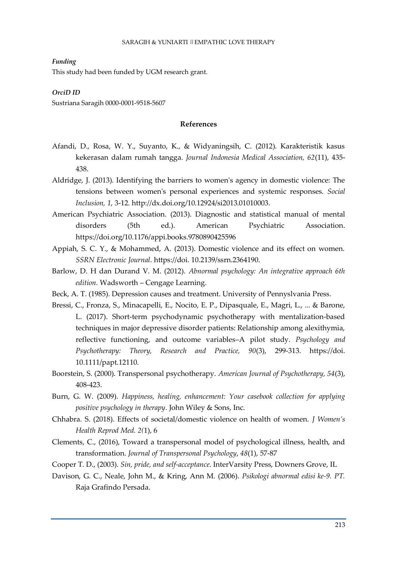*Funding*

This study had been funded by UGM research grant.

*OrciD ID*

Sustriana Saragih 0000-0001-9518-5607

## **References**

- Afandi, D., Rosa, W. Y., Suyanto, K., & Widyaningsih, C. (2012). Karakteristik kasus kekerasan dalam rumah tangga. *Journal Indonesia Medical Association, 62*(11), 435- 438.
- Aldridge, J. (2013). Identifying the barriers to women's agency in domestic violence: The tensions between women's personal experiences and systemic responses. *Social Inclusion, 1*, 3-12. http://dx.doi.org/10.12924/si2013.01010003.
- American Psychiatric Association. (2013). Diagnostic and statistical manual of mental disorders (5th ed.). American Psychiatric Association. https://doi.org/10.1176/appi.books.9780890425596
- Appiah, S. C. Y., & Mohammed, A. (2013). Domestic violence and its effect on women. *SSRN Electronic Journal*. https://doi. 10.2139/ssrn.2364190.
- Barlow, D. H dan Durand V. M. (2012). *Abnormal psychology: An integrative approach 6th edition.* Wadsworth – Cengage Learning.
- Beck, A. T. (1985). Depression causes and treatment. University of Pennyslvania Press.
- Bressi, C., Fronza, S., Minacapelli, E., Nocito, E. P., Dipasquale, E., Magri, L., ... & Barone, L. (2017). Short-term psychodynamic psychotherapy with mentalization-based techniques in major depressive disorder patients: Relationship among alexithymia, reflective functioning, and outcome variables–A pilot study. *Psychology and Psychotherapy: Theory, Research and Practice, 90*(3), 299-313. https://doi. 10.1111/papt.12110.
- Boorstein, S. (2000). Transpersonal psychotherapy. *American Journal of Psychotherapy, 54*(3), 408-423.
- Burn, G. W. (2009). *Happiness, healing, enhancement: Your casebook collection for applying positive psychology in therapy*. John Wiley & Sons, Inc.
- Chhabra. S. (2018). Effects of societal/domestic violence on health of women. *J Women's Health Reprod Med. 2(*1), 6
- Clements, C., (2016), Toward a transpersonal model of psychological illness, health, and transformation. *Journal of Transpersonal Psychology*, *48*(1), 57-87
- Cooper T. D., (2003). *Sin, pride, and self-acceptance*. InterVarsity Press, Downers Grove, IL
- Davison, G. C., Neale, John M., & Kring, Ann M. (2006). *Psikologi abnormal edisi ke-9. PT.* Raja Grafindo Persada.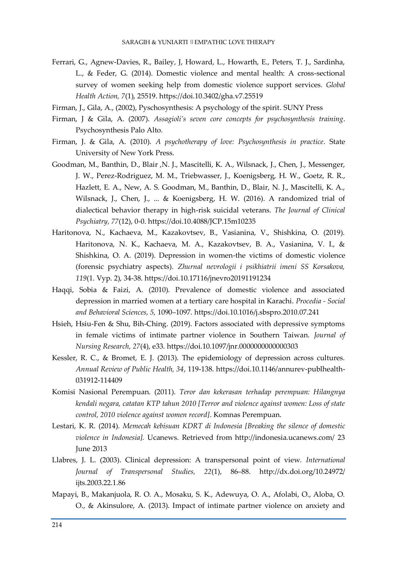- Ferrari, G., Agnew-Davies, R., Bailey, J, Howard, L., Howarth, E., Peters, T. J., Sardinha, L., & Feder, G. (2014). Domestic violence and mental health: A cross-sectional survey of women seeking help from domestic violence support services. *Global Health Action, 7*(1), 25519. https://doi.10.3402/gha.v7.25519
- Firman, J., Gila, A., (2002), Pyschosynthesis: A psychology of the spirit. SUNY Press
- Firman, J & Gila, A. (2007). *Assagioli's seven core concepts for psychosynthesis training*. Psychosynthesis Palo Alto.
- Firman, J. & Gila, A. (2010). *A psychotherapy of love: Psychosynthesis in practice*. State University of New York Press.
- Goodman, M., Banthin, D., Blair ,N. J., Mascitelli, K. A., Wilsnack, J., Chen, J., Messenger, J. W., Perez-Rodriguez, M. M., Triebwasser, J., Koenigsberg, H. W., Goetz, R. R., Hazlett, E. A., New, A. S. Goodman, M., Banthin, D., Blair, N. J., Mascitelli, K. A., Wilsnack, J., Chen, J., ... & Koenigsberg, H. W. (2016). A randomized trial of dialectical behavior therapy in high-risk suicidal veterans. *The Journal of Clinical Psychiatry, 77*(12), 0-0. https://doi.10.4088/JCP.15m10235
- Haritonova, N., Kachaeva, M., Kazakovtsev, B., Vasianina, V., Shishkina, O. (2019). Haritonova, N. K., Kachaeva, M. A., Kazakovtsev, B. A., Vasianina, V. I., & Shishkina, O. A. (2019). Depression in women-the victims of domestic violence (forensic psychiatry aspects). *Zhurnal nevrologii i psikhiatrii imeni SS Korsakova, 119*(1. Vyp. 2), 34-38. https://doi.10.17116/jnevro20191191234
- Haqqi, Sobia & Faizi, A. (2010). Prevalence of domestic violence and associated depression in married women at a tertiary care hospital in Karachi. *Procedia - Social and Behavioral Sciences, 5,* 1090–1097. https://doi.10.1016/j.sbspro.2010.07.241
- Hsieh, Hsiu-Fen & Shu, Bih-Ching. (2019). Factors associated with depressive symptoms in female victims of intimate partner violence in Southern Taiwan. *Journal of Nursing Research, 27*(4), e33. https://doi.10.1097/jnr.0000000000000303
- Kessler, R. C., & Bromet, E. J. (2013). The epidemiology of depression across cultures. *Annual Review of Public Health, 34*, 119-138. https://doi.10.1146/annurev-publhealth-031912-114409
- Komisi Nasional Perempuan. (2011). *Teror dan kekerasan terhadap perempuan: Hilangnya kendali negara, catatan KTP tahun 2010 [Terror and violence against women: Loss of state control, 2010 violence against women record]*. Komnas Perempuan.
- Lestari, K. R. (2014). *Memecah kebisuan KDRT di Indonesia [Breaking the silence of domestic violence in Indonesia].* Ucanews. Retrieved from http://indonesia.ucanews.com/ 23 June 2013
- Llabres, J. L. (2003). Clinical depression: A transpersonal point of view. *International Journal of Transpersonal Studies, 22*(1), 86–88. http://dx.doi.org/10.24972/ ijts.2003.22.1.86
- Mapayi, B., Makanjuola, R. O. A., Mosaku, S. K., Adewuya, O. A., Afolabi, O., Aloba, O. O., & Akinsulore, A. (2013). Impact of intimate partner violence on anxiety and